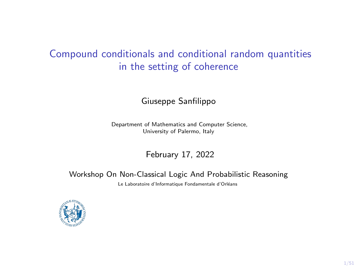# Compound conditionals and conditional random quantities in the setting of coherence

#### Giuseppe Sanfilippo

Department of Mathematics and Computer Science, University of Palermo, Italy

February 17, 2022

#### Workshop On Non-Classical Logic And Probabilistic Reasoning Le Laboratoire d'Informatique Fondamentale d'Orléans

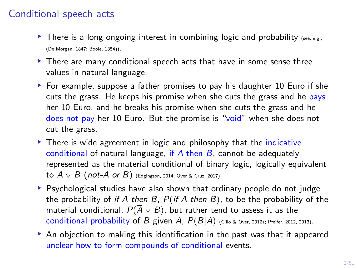# Conditional speech acts

- $\blacktriangleright$  There is a long ongoing interest in combining logic and probability (see, e.g., [\(De Morgan, 1847;](#page-46-0) [Boole, 1854\)](#page-46-1)).
- ▶ There are many conditional speech acts that have in some sense three values in natural language.
- § For example, suppose a father promises to pay his daughter 10 Euro if she cuts the grass. He keeps his promise when she cuts the grass and he pays her 10 Euro, and he breaks his promise when she cuts the grass and he does not pay her 10 Euro. But the promise is "void" when she does not cut the grass.
- ▶ There is wide agreement in logic and philosophy that the *indicative* conditional of natural language, if  $A$  then  $B$ , cannot be adequately represented as the material conditional of binary logic, logically equivalent to  $\overline{A} \vee B$  (not-A or B) [\(Edgington, 2014;](#page-46-2) [Over & Cruz, 2017\)](#page-49-0)
- § Psychological studies have also shown that ordinary people do not judge the probability of if A then B,  $P(if \mid A)$  then B), to be the probability of the material conditional,  $P(\overline{A} \vee B)$ , but rather tend to assess it as the conditional probability of B given A,  $P(B|A)$  [\(Gilio & Over, 2012a;](#page-47-0) [Pfeifer, 2012,](#page-49-1) [2013\)](#page-50-0).
- $\blacktriangleright$  An objection to making this identification in the past was that it appeared unclear how to form compounds of conditional events.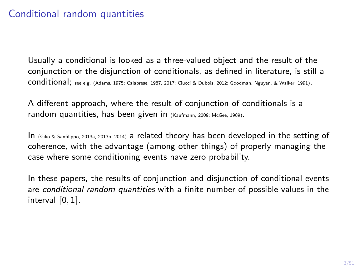# Conditional random quantities

Usually a conditional is looked as a three-valued object and the result of the conjunction or the disjunction of conditionals, as defined in literature, is still a conditional; see e.g. [\(Adams, 1975;](#page-46-3) [Calabrese, 1987,](#page-46-4) [2017;](#page-46-5) [Ciucci & Dubois, 2012;](#page-46-6) [Goodman, Nguyen, & Walker, 1991\)](#page-49-2).

A different approach, where the result of conjunction of conditionals is a random quantities, has been given in [\(Kaufmann, 2009;](#page-49-3) [McGee, 1989\)](#page-49-4).

In [\(Gilio & Sanfilippo, 2013a,](#page-48-0) [2013b,](#page-48-1) [2014\)](#page-48-2) a related theory has been developed in the setting of coherence, with the advantage (among other things) of properly managing the case where some conditioning events have zero probability.

In these papers, the results of conjunction and disjunction of conditional events are conditional random quantities with a finite number of possible values in the interval  $[0, 1]$ .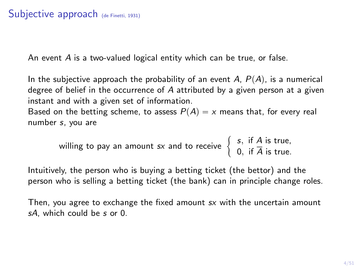### Subjective approach [\(de Finetti, 1931\)](#page-46-7)

An event A is a two-valued logical entity which can be true, or false.

In the subjective approach the probability of an event  $A, P(A)$ , is a numerical degree of belief in the occurrence of A attributed by a given person at a given instant and with a given set of information.

Based on the betting scheme, to assess  $P(A) = x$  means that, for every real number s, you are

willing to pay an amount 
$$
sx
$$
 and to receive  $\begin{cases} s, & \text{if } A \text{ is true,} \\ 0, & \text{if } \overline{A} \text{ is true.} \end{cases}$ 

Intuitively, the person who is buying a betting ticket (the bettor) and the person who is selling a betting ticket (the bank) can in principle change roles.

Then, you agree to exchange the fixed amount sx with the uncertain amount sA, which could be s or 0.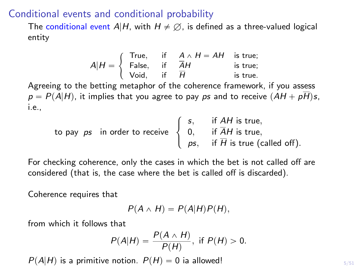#### Conditional events and conditional probability

The conditional event A|H, with  $H \neq \emptyset$ , is defined as a three-valued logical entity

$$
A|H = \begin{cases} \text{True,} & \text{if } A \land H = AH \text{ is true;}\\ \text{False,} & \text{if } \overline{H} \\ \text{Void,} & \text{if } \overline{H} \end{cases} \text{ is true;}
$$

Agreeing to the betting metaphor of the coherence framework, if you assess  $p = P(A|H)$ , it implies that you agree to pay ps and to receive  $(AH + p\overline{H})s$ , i.e.,  $\mathbb{R}^2$ 

\n to pay 
$$
ps
$$
 in order to receive  $\begin{cases} \n s, & \text{if } AH \text{ is true,} \\
 0, & \text{if } \overline{A}H \text{ is true,} \\
 ps, & \text{if } \overline{H} \text{ is true (called off).}\n \end{cases}$ \n

For checking coherence, only the cases in which the bet is not called off are considered (that is, the case where the bet is called off is discarded).

Coherence requires that

$$
P(A \wedge H) = P(A|H)P(H),
$$

from which it follows that

$$
P(A|H) = \frac{P(A \wedge H)}{P(H)}, \text{ if } P(H) > 0.
$$

 $P(A|H)$  is a primitive notion.  $P(H) = 0$  ia allowed!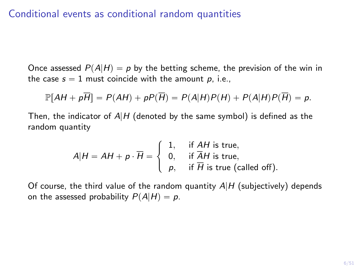### Conditional events as conditional random quantities

Once assessed  $P(A|H) = p$  by the betting scheme, the prevision of the win in the case  $s = 1$  must coincide with the amount p, i.e.,

$$
\mathbb{P}[AH + p\overline{H}] = P(AH) + pP(\overline{H}) = P(A|H)P(H) + P(A|H)P(\overline{H}) = p.
$$

Then, the indicator of  $A|H$  (denoted by the same symbol) is defined as the random quantity

$$
A|H = AH + p \cdot \overline{H} = \begin{cases} 1, & \text{if } AH \text{ is true,} \\ 0, & \text{if } \overline{A}H \text{ is true,} \\ p, & \text{if } \overline{H} \text{ is true (called off).} \end{cases}
$$

Of course, the third value of the random quantity  $A|H$  (subjectively) depends on the assessed probability  $P(A|H) = p$ .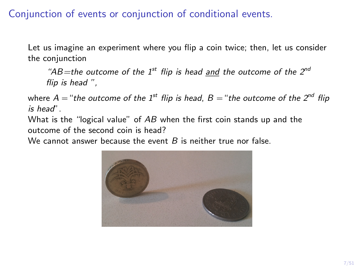# Conjunction of events or conjunction of conditional events.

Let us imagine an experiment where you flip a coin twice; then, let us consider the conjunction

"AB=the outcome of the 1<sup>st</sup> flip is head and the outcome of the 2<sup>nd</sup> flip is head ",

where  $A = "the outcome of the 1<sup>st</sup> flip is head, B = "the outcome of the 2<sup>nd</sup> flip$ is head".

What is the "logical value" of AB when the first coin stands up and the outcome of the second coin is head?

We cannot answer because the event  $B$  is neither true nor false.

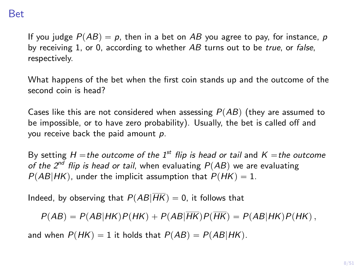### Bet

If you judge  $P(AB) = p$ , then in a bet on AB you agree to pay, for instance, p by receiving 1, or 0, according to whether AB turns out to be true, or false, respectively.

What happens of the bet when the first coin stands up and the outcome of the second coin is head?

Cases like this are not considered when assessing  $P(AB)$  (they are assumed to be impossible, or to have zero probability). Usually, the bet is called off and you receive back the paid amount  $p$ .

By setting H = the outcome of the 1<sup>st</sup> flip is head or tail and K = the outcome of the  $2^{nd}$  flip is head or tail, when evaluating  $P(AB)$  we are evaluating  $P(AB|HK)$ , under the implicit assumption that  $P(HK) = 1$ .

Indeed, by observing that  $P(AB|\overline{HK}) = 0$ , it follows that

 $P(AB) = P(AB|HK)P(HK) + P(AB|\overline{HK})P(\overline{HK}) = P(AB|HK)P(HK)$ ,

and when  $P(HK) = 1$  it holds that  $P(AB) = P(AB|HK)$ .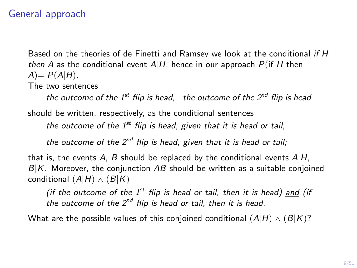### General approach

Based on the theories of de Finetti and Ramsey we look at the conditional if H then A as the conditional event  $A|H$ , hence in our approach  $P(iH)$  then  $A) = P(A|H)$ . The two sentences

the outcome of the  $1^{st}$  flip is head, the outcome of the  $2^{nd}$  flip is head should be written, respectively, as the conditional sentences

the outcome of the  $1<sup>st</sup>$  flip is head, given that it is head or tail,

the outcome of the  $2^{nd}$  flip is head, given that it is head or tail;

that is, the events A, B should be replaced by the conditional events  $A|H$ ,  $B|K$ . Moreover, the conjunction AB should be written as a suitable conjoined conditional  $(A|H) \wedge (B|K)$ 

(if the outcome of the  $1^{st}$  flip is head or tail, then it is head) and (if the outcome of the  $2^{nd}$  flip is head or tail, then it is head.

What are the possible values of this conjoined conditional  $(A|H) \wedge (B|K)$ ?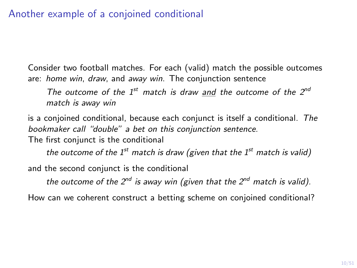# Another example of a conjoined conditional

Consider two football matches. For each (valid) match the possible outcomes are: home win, draw, and away win. The conjunction sentence

The outcome of the  $1^{st}$  match is draw and the outcome of the  $2^{nd}$ match is away win

is a conjoined conditional, because each conjunct is itself a conditional. The bookmaker call "double" a bet on this conjunction sentence.

The first conjunct is the conditional

the outcome of the  $1^{st}$  match is draw (given that the  $1^{st}$  match is valid)

and the second conjunct is the conditional

the outcome of the  $2^{nd}$  is away win (given that the  $2^{nd}$  match is valid).

How can we coherent construct a betting scheme on conjoined conditional?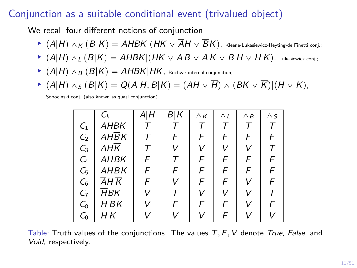# Conjunction as a suitable conditional event (trivalued object)

We recall four different notions of conjunction

- $\blacktriangleright$   $(A|H) \wedge_K (B|K) = AHBK|(HK \vee \overline{A}H \vee \overline{B}K)$ , Kleene-Lukasiewicz-Heyting-de Finetti conj.;
- $\blacktriangleright$   $(A|H) \wedge_L (B|K) = AHBK|(HK \vee \overline{A} \overline{B} \vee \overline{A} \overline{K} \vee \overline{B} \overline{H} \vee \overline{H} \overline{K}),$  Lukasiewicz conj.;
- $\blacktriangleright$   $(A|H) \wedge_B (B|K) = AHBK|HK$ , Bochvar internal conjunction;
- $\blacktriangleright$  (A|H)  $\wedge_S (B|K) = Q(A|H, B|K) = (AH \vee \overline{H}) \wedge (BK \vee \overline{K})|(H \vee K),$

Sobocinski conj. (also known as quasi conjunction).

|                 | $C_h$                         | ΑIΗ    | B K | $\wedge$ K | $\wedge_L$ | $\wedge_B$ | $\wedge$ S |
|-----------------|-------------------------------|--------|-----|------------|------------|------------|------------|
| C <sub>1</sub>  | AHBK                          |        | т   | т          | т          | т          | Τ          |
| C <sub>2</sub>  | $AH\overline{B}K$             |        | F   | F          | F          | F          | F          |
| $C_3$           | $AH\overline{K}$              | $\tau$ | v   | V          | v          | v          | Τ          |
| $C_{4}$         | AHBK                          | F      | т   | F          | F          | F          | F          |
| $C_{5}$         | $\overline{A}H\overline{B}K$  | F      | F   | F          | F          | F          | F          |
| $\mathcal{C}_6$ | AH K                          | F      | v   | F          | F          | V          | F          |
| $C_7$           | $H$ BK                        | V      |     | V          | V          | v          | т          |
| $C_8$           | $\overline{H}\,\overline{B}K$ |        | F   | F          | F          | V          | F          |
| $C_0$           | НK                            |        |     |            | F          | \/         |            |

Table: Truth values of the conjunctions. The values  $T, F, V$  denote True, False, and Void, respectively.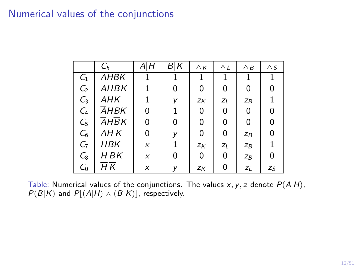### Numerical values of the conjunctions

|                 | $C_h$       | А Н | B K | $\wedge$ K | $\wedge_L$ | $\wedge$ B | $\wedge$ S |
|-----------------|-------------|-----|-----|------------|------------|------------|------------|
| $\mathcal{C}_1$ | <i>AHBK</i> |     |     | 1          | 1          | 1          | 1          |
| C <sub>2</sub>  | AHBK        |     | 0   | 0          | 0          | 0          | 0          |
| $C_3$           | AHK         |     | y   | Zκ         | $Z_L$      | $Z_B$      |            |
| $\mathcal{C}_4$ | AHBK        | 0   |     | 0          | 0          | 0          | 0          |
| $\mathcal{C}_5$ | <b>AHBK</b> | 0   | 0   | 0          | 0          | 0          | 0          |
| $\mathcal{C}_6$ | AH K        | 0   | у   | 0          | 0          | $Z_B$      | 0          |
| $C_7$           | ĦВK         | X   |     | Zκ         | $Z_L$      | $Z_B$      | 1          |
| $\mathcal{C}_8$ | H BK        | X   | 0   | 0          | 0          | $Z_B$      | 0          |
| $C_0$           | НK          | X   | У   | ZK         | 0          | $Z_L$      | $Z_{S}$    |

Table: Numerical values of the conjunctions. The values  $x, y, z$  denote  $P(A|H)$ ,  $P(B|K)$  and  $P[(A|H) \wedge (B|K)]$ , respectively.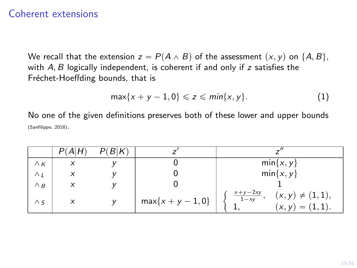#### Coherent extensions

We recall that the extension  $z = P(A \wedge B)$  of the assessment  $(x, y)$  on  $\{A, B\}$ , with  $A, B$  logically independent, is coherent if and only if  $z$  satisfies the Fréchet-Hoeffding bounds, that is

$$
\max\{x+y-1,0\}\leqslant z\leqslant \min\{x,y\}.\tag{1}
$$

No one of the given definitions preserves both of these lower and upper bounds [\(Sanfilippo, 2018\)](#page-50-1).

|            | P(A H) | P(B K) |                     |                                                                       |
|------------|--------|--------|---------------------|-----------------------------------------------------------------------|
| $\wedge$ K | X      |        |                     | $min\{x, y\}$                                                         |
| $\wedge_L$ | X      |        |                     | $min\{x, y\}$                                                         |
| $\wedge$ B |        |        |                     |                                                                       |
| $\wedge$ s | X      |        | $max{x + y - 1, 0}$ | $\frac{x+y-2xy}{1-xy}$<br>$(x, y) \neq (1, 1),$<br>$(x, y) = (1, 1).$ |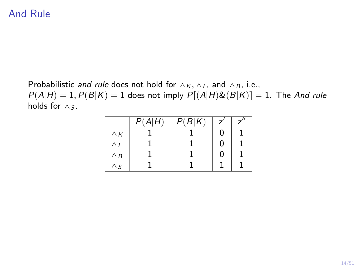# And Rule

Probabilistic and rule does not hold for  $\wedge_K$ ,  $\wedge_L$ , and  $\wedge_B$ , i.e.,  $P(A|H) = 1, P(B|K) = 1$  does not imply  $P[(A|H)\&(B|K)] = 1$ . The And rule holds for  $\wedge$  s.

|            | P(A H) | P(B K) |  |
|------------|--------|--------|--|
| $\wedge$ K |        |        |  |
| $\wedge_L$ |        |        |  |
| $\wedge$ B |        |        |  |
| $\wedge$ s |        |        |  |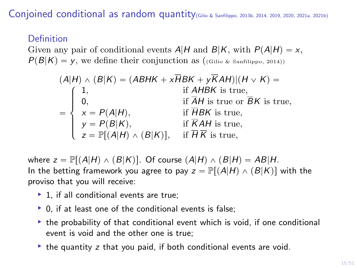Conjoined conditional as random quantity[\(Gilio & Sanfilippo, 2013b,](#page-48-1) [2014,](#page-48-2) [2019,](#page-48-3) [2020,](#page-48-4) [2021a,](#page-49-5) [2021b\)](#page-49-6)

#### Definition

Given any pair of conditional events  $A|H$  and  $B|K$ , with  $P(A|H) = x$ ,  $P(B|K) = y$ , we define their conjunction as ([\(Gilio & Sanfilippo, 2014\)](#page-48-2))

$$
(A|H) \land (B|K) = (ABHK + x\overline{H}BK + y\overline{K}AH)| (H \lor K) =
$$
  
\n
$$
= \begin{cases}\n1, & \text{if } AHBK \text{ is true,} \\
0, & \text{if } \overline{A}H \text{ is true or } \overline{B}K \text{ is true,} \\
x = P(A|H), & \text{if } \overline{H}BK \text{ is true,} \\
y = P(B|K), & \text{if } \overline{K}AH \text{ is true,} \\
z = \mathbb{P}[(A|H) \land (B|K)], & \text{if } \overline{H}K \text{ is true,}\n\end{cases}
$$

where  $z = \mathbb{P}[(A|H) \wedge (B|K)]$ . Of course  $(A|H) \wedge (B|H) = AB|H$ . In the betting framework you agree to pay  $z = \mathbb{P}[(A|H) \wedge (B|K)]$  with the proviso that you will receive:

- $\blacktriangleright$  1, if all conditional events are true;
- $\triangleright$  0, if at least one of the conditional events is false;
- $\rightarrow$  the probability of that conditional event which is void, if one conditional event is void and the other one is true;
- $\rightarrow$  the quantity z that you paid, if both conditional events are void.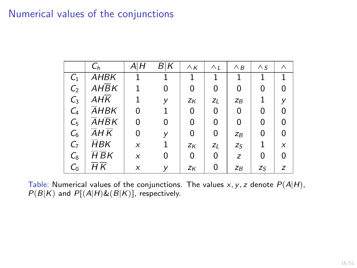### Numerical values of the conjunctions

|                 | $C_h$                                 | АŀН | B∣K | $\wedge$ K | $\wedge_L$ | $\wedge$ B | $\wedge$ S | Λ |
|-----------------|---------------------------------------|-----|-----|------------|------------|------------|------------|---|
| $C_{1}$         | AHBK                                  |     |     | 1          | 1          | 1          | 1          | 1 |
| C <sub>2</sub>  | AHBK                                  |     | U   | 0          | 0          | U          | 0          | 0 |
| $C_3$           | AHK                                   |     | у   | $Z_K$      | $Z_L$      | $Z_B$      |            | v |
| $C_4$           | AHBK                                  | 0   |     | 0          | 0          | 0          | 0          | 0 |
| $C_{5}$         | AHBK                                  | 0   | 0   | 0          | 0          | 0          | 0          | 0 |
| $C_6$           | $\overline{A}H\overline{K}$           | 0   | у   | 0          | 0          | $Z_B$      | 0          | 0 |
| $C_7$           | ĦВK                                   | X   |     | $Z_K$      | $Z_L$      | $Z_S$      |            | X |
| $\mathcal{C}_8$ | $H$ $BK$                              | X   | 0   | 0          | 0          | z          | 0          | 0 |
| C <sub>0</sub>  | $\overline{H}\,\overline{\mathsf{K}}$ | X   |     | $Z_K$      | 0          | $Z_B$      | Ζs         | z |

Table: Numerical values of the conjunctions. The values  $x, y, z$  denote  $P(A|H)$ ,  $P(B|K)$  and  $P[(A|H) \& (B|K)]$ , respectively.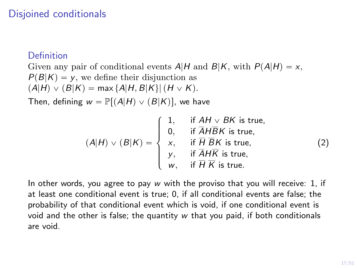# Disjoined conditionals

#### Definition

Given any pair of conditional events  $A|H$  and  $B|K$ , with  $P(A|H) = x$ ,  $P(B|K) = v$ , we define their disjunction as  $(A|H) \vee (B|K) = \max \{A|H, B|K\}$   $(H \vee K)$ .

Then, defining  $w = \mathbb{P}[(A|H) \vee (B|K)]$ , we have

$$
(A|H) \vee (B|K) = \begin{cases} 1, & \text{if } AH \vee BK \text{ is true,} \\ 0, & \text{if } \overline{A} \overline{H} \overline{B} K \text{ is true,} \\ x, & \text{if } \overline{H} \overline{B} K \text{ is true,} \\ y, & \text{if } \overline{A} \overline{H} \text{ is true,} \\ w, & \text{if } \overline{H} \overline{K} \text{ is true.} \end{cases}
$$
(2)

In other words, you agree to pay w with the proviso that you will receive: 1, if at least one conditional event is true; 0, if all conditional events are false; the probability of that conditional event which is void, if one conditional event is void and the other is false; the quantity w that you paid, if both conditionals are void.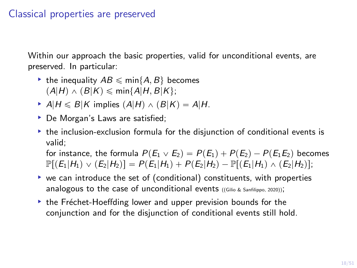### Classical properties are preserved

Within our approach the basic properties, valid for unconditional events, are preserved. In particular:

- If the inequality  $AB \leq \min\{A, B\}$  becomes  $(A|H) \wedge (B|K) \leqslant \min\{A|H, B|K\};$
- A|H  $\leq B|K$  implies  $(A|H) \wedge (B|K) = A|H$ .
- ▶ De Morgan's Laws are satisfied;
- $\rightarrow$  the inclusion-exclusion formula for the disjunction of conditional events is valid;

for instance, the formula  $P(E_1 \vee E_2) = P(E_1) + P(E_2) - P(E_1E_2)$  becomes  $\mathbb{P}[(E_1|H_1) \vee (E_2|H_2)] = P(E_1|H_1) + P(E_2|H_2) - \mathbb{P}[(E_1|H_1) \wedge (E_2|H_2)];$ 

- $\triangleright$  we can introduce the set of (conditional) constituents, with properties analogous to the case of unconditional events ([\(Gilio & Sanfilippo, 2020\)](#page-48-4));
- $\rightarrow$  the Fréchet-Hoeffding lower and upper prevision bounds for the conjunction and for the disjunction of conditional events still hold.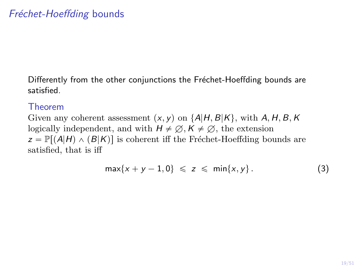Differently from the other conjunctions the Fréchet-Hoeffding bounds are satisfied.

#### Theorem

Given any coherent assessment  $(x, y)$  on  $\{A|H, B|K\}$ , with A, H, B, K logically independent, and with  $H \neq \emptyset$ ,  $K \neq \emptyset$ , the extension  $z = \mathbb{P}[(A|H) \wedge (B|K)]$  is coherent iff the Fréchet-Hoeffding bounds are satisfied, that is iff

$$
\max\{x+y-1,0\} \leqslant z \leqslant \min\{x,y\}.
$$
 (3)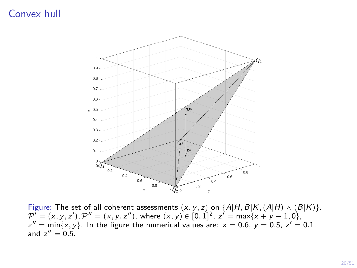### Convex hull



Figure: The set of all coherent assessments  $(x, y, z)$  on  $\{A|H, B|K, (A|H) \wedge (B|K)\}.$  $\mathcal{P}^{\prime}=(x,y,z^{\prime}), \mathcal{P}^{\prime\prime}=(x,y,z^{\prime\prime}),$  where  $(x,y)\in [0,1]^2, \ z^{\prime}=\max\{x+y-1,0\},$  $z'' = min\{x, y\}$ . In the figure the numerical values are:  $x = 0.6$ ,  $y = 0.5$ ,  $z' = 0.1$ , and  $z'' = 0.5$ .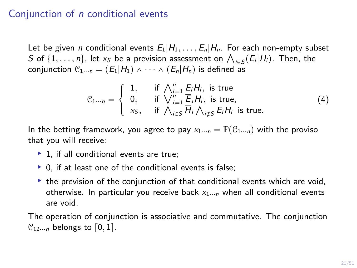### Conjunction of n conditional events

Let be given *n* conditional events  $E_1|H_1,\ldots,E_n|H_n$ . For each non-empty subset Let be given *n* conditional events  $E_1 | H_1, \ldots, E_n | H_n$ . For each non-empty surfact of  $\{1, \ldots, n\}$ , let  $x_5$  be a prevision assessment on  $\bigwedge_{i \in S} (E_i | H_i)$ . Then, the conjunction  $C_{1\cdots n} = (E_1|H_1) \wedge \cdots \wedge (E_n|H_n)$  is defined as

$$
\mathcal{C}_{1\cdots n} = \begin{cases} 1, & \text{if } \bigwedge_{i=1}^{n} E_i H_i, \text{ is true} \\ 0, & \text{if } \bigvee_{i=1}^{n} \overline{E}_i H_i, \text{ is true,} \\ x_S, & \text{if } \bigwedge_{i \in S} \overline{H}_i \bigwedge_{i \notin S} E_i H_i \text{ is true.} \end{cases} \tag{4}
$$

In the betting framework, you agree to pay  $x_1 \dots n = \mathbb{P}(\mathcal{C}_1 \dots n)$  with the proviso that you will receive:

- $\blacktriangleright$  1, if all conditional events are true;
- $\triangleright$  0, if at least one of the conditional events is false;
- $\rightarrow$  the prevision of the conjunction of that conditional events which are void, otherwise. In particular you receive back  $x_1 \dots n_n$  when all conditional events are void.

The operation of conjunction is associative and commutative. The conjunction  $\mathcal{C}_{12\cdots n}$  belongs to  $[0, 1]$ .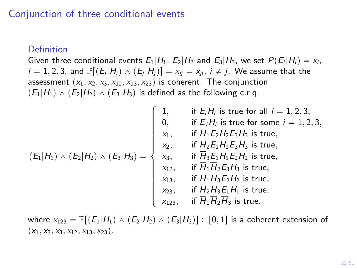### Conjunction of three conditional events

#### **Definition**

Given three conditional events  $E_1|H_1, E_2|H_2$  and  $E_3|H_3$ , we set  $P(E_i|H_i) = x_i$ ,  $i = 1, 2, 3$ , and  $\mathbb{P}[(E_i|H_i) \wedge (E_i|H_i)] = x_{ii} = x_{ii}$ ,  $i \neq j$ . We assume that the assessment  $(x_1, x_2, x_3, x_{12}, x_{13}, x_{23})$  is coherent. The conjunction  $p(E_1|H_1) \wedge (E_2|H_2) \wedge (E_3|H_3)$  is defined as the following c.r.g.

$$
(E_1|H_1) \wedge (E_2|H_2) \wedge (E_3|H_3) = \begin{cases} 1, & \text{if } E_iH_i \text{ is true for all } i = 1, 2, 3, \\ 0, & \text{if } \overline{E}_iH_i \text{ is true for some } i = 1, 2, 3, \\ x_1, & \text{if } \overline{H}_1E_2H_2E_3H_3 \text{ is true,} \\ x_2, & \text{if } \overline{H}_2E_1H_1E_3H_3 \text{ is true,} \\ x_3, & \text{if } \overline{H}_3E_1H_1E_2H_2 \text{ is true,} \\ x_{12}, & \text{if } \overline{H}_1\overline{H}_2E_3H_3 \text{ is true,} \\ x_{13}, & \text{if } \overline{H}_1\overline{H}_3E_2H_2 \text{ is true,} \\ x_{23}, & \text{if } \overline{H}_2\overline{H}_3E_1H_1 \text{ is true,} \\ x_{123}, & \text{if } \overline{H}_1\overline{H}_2\overline{H}_3 \text{ is true,} \end{cases}
$$

where  $x_{123} = \mathbb{P}[(E_1|H_1) \wedge (E_2|H_2) \wedge (E_3|H_3)] \in [0, 1]$  is a coherent extension of  $(x_1, x_2, x_3, x_{12}, x_{13}, x_{23}).$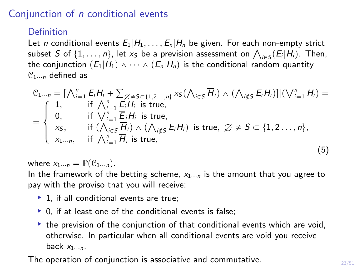### Conjunction of n conditional events

#### Definition

<span id="page-22-0"></span>Let *n* conditional events  $E_1|H_1,\ldots,E_n|H_n$  be given. For each non-empty strict Let *n* conditional events  $E_1 | H_1, \ldots, E_n | H_n$  be given. For each non-empty strict<br>subset S of  $\{1, \ldots, n\}$ , let  $x_S$  be a prevision assessment on  $\bigwedge_{i \in S} (E_i | H_i)$ . Then, the conjunction  $(E_1|H_1) \wedge \cdots \wedge (E_n|H_n)$  is the conditional random quantity  $\mathcal{C}_{1\cdots n}$  defined as

$$
C_{1\cdots n} = \left[\bigwedge_{i=1}^{n} E_i H_i + \sum_{\emptyset \neq S \subset \{1, 2\cdots, n\}} x_{S} (\bigwedge_{i \in S} \overline{H}_i) \wedge (\bigwedge_{i \notin S} E_i H_i) \right] | (\bigvee_{i=1}^{n} H_i) =
$$
\n
$$
= \begin{cases}\n1, & \text{if } \bigwedge_{i=1}^{n} E_i H_i \text{ is true,} \\
0, & \text{if } \bigvee_{i=1}^{n} \overline{E}_i H_i \text{ is true,} \\
x_{S}, & \text{if } (\bigwedge_{i \in S} \overline{H}_i) \wedge (\bigwedge_{i \notin S} E_i H_i) \text{ is true, } \emptyset \neq S \subset \{1, 2 \cdots, n\}, \\
x_{1\cdots n}, & \text{if } \bigwedge_{i=1}^{n} \overline{H}_i \text{ is true,}\n\end{cases}
$$
\n(5)

where  $x_{1\cdots n} = \mathbb{P}(\mathcal{C}_{1\cdots n}).$ 

In the framework of the betting scheme,  $x_1 \dots p_n$  is the amount that you agree to pay with the proviso that you will receive:

- $\blacktriangleright$  1, if all conditional events are true;
- $\triangleright$  0, if at least one of the conditional events is false;
- $\triangleright$  the prevision of the conjunction of that conditional events which are void, otherwise. In particular when all conditional events are void you receive back  $x_1...$ n.

The operation of conjunction is associative and commutative.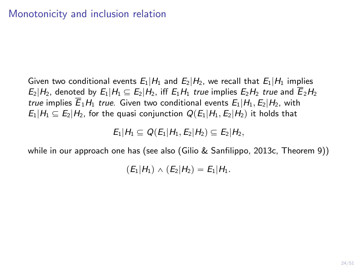Given two conditional events  $E_1|H_1$  and  $E_2|H_2$ , we recall that  $E_1|H_1$  implies  $E_2|H_2$ , denoted by  $E_1|H_1 \subseteq E_2|H_2$ , iff  $E_1H_1$  true implies  $E_2H_2$  true and  $\overline{E}_2H_2$ true implies  $\overline{E}_1H_1$  true. Given two conditional events  $E_1|H_1, E_2|H_2$ , with  $E_1|H_1 \subseteq E_2|H_2$ , for the quasi conjunction  $Q(E_1|H_1, E_2|H_2)$  it holds that

 $E_1|H_1 \subseteq Q(E_1|H_1, E_2|H_2) \subseteq E_2|H_2$ 

while in our approach one has (see also [\(Gilio & Sanfilippo, 2013c,](#page-48-5) Theorem 9))

 $(E_1|H_1) \wedge (E_2|H_2) = E_1|H_1.$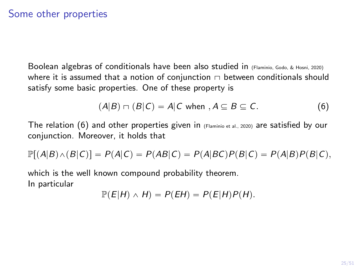# Some other properties

Boolean algebras of conditionals have been also studied in [\(Flaminio, Godo, & Hosni, 2020\)](#page-47-1) where it is assumed that a notion of conjunction  $\Box$  between conditionals should satisfy some basic properties. One of these property is

<span id="page-24-0"></span>
$$
(A|B) \sqcap (B|C) = A|C \text{ when } A \subseteq B \subseteq C. \tag{6}
$$

The relation [\(6\)](#page-24-0) and other properties given in  $(FI)$  and  $I$  and  $I$  and  $I$  are satisfied by our conjunction. Moreover, it holds that

$$
\mathbb{P}[(A|B) \wedge (B|C)] = P(A|C) = P(AB|C) = P(A|BC)P(B|C) = P(A|B)P(B|C),
$$

which is the well known compound probability theorem. In particular

$$
\mathbb{P}(E|H) \wedge H) = P(EH) = P(E|H)P(H).
$$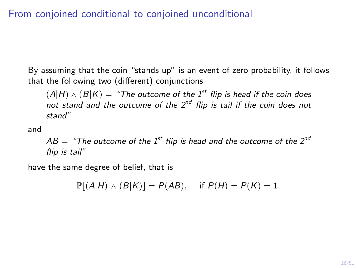# From conjoined conditional to conjoined unconditional

By assuming that the coin "stands up" is an event of zero probability, it follows that the following two (different) conjunctions

 $(A|H) \wedge (B|K) =$  "The outcome of the 1<sup>st</sup> flip is head if the coin does not stand and the outcome of the  $2^{nd}$  flip is tail if the coin does not stand"

and

 $AB =$  "The outcome of the 1<sup>st</sup> flip is head and the outcome of the 2<sup>nd</sup> flip is tail"

have the same degree of belief, that is

 $\mathbb{P}[(A|H) \wedge (B|K)] = P(AB)$ , if  $P(H) = P(K) = 1$ .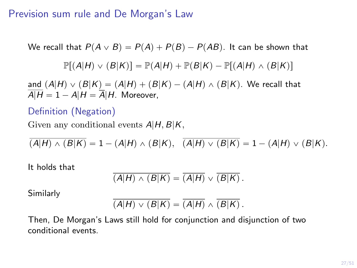### Prevision sum rule and De Morgan's Law

We recall that  $P(A \vee B) = P(A) + P(B) - P(AB)$ . It can be shown that

$$
\mathbb{P}[(A|H) \vee (B|K)] = \mathbb{P}(A|H) + \mathbb{P}(B|K) - \mathbb{P}[(A|H) \wedge (B|K)]
$$

and  $(A|H) \vee (B|K) = (A|H) + (B|K) - (A|H) \wedge (B|K)$ . We recall that  $\overline{A|H} = 1 - A|H = \overline{A}|H$ . Moreover,

#### Definition (Negation)

Given any conditional events  $A|H, B|K$ ,

$$
\overline{(A|H) \wedge (B|K)} = 1 - (A|H) \wedge (B|K), \quad \overline{(A|H) \vee (B|K)} = 1 - (A|H) \vee (B|K).
$$

It holds that

$$
\overline{(A|H) \wedge (B|K)} = \overline{(A|H)} \vee \overline{(B|K)}.
$$

Similarly

$$
\overline{(A|H) \vee (B|K)} = \overline{(A|H)} \wedge \overline{(B|K)}.
$$

Then, De Morgan's Laws still hold for conjunction and disjunction of two conditional events.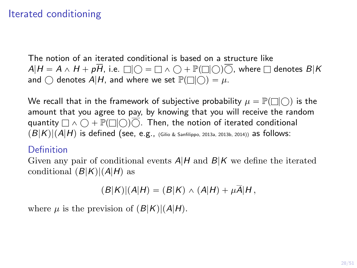# Iterated conditioning

The notion of an iterated conditional is based on a structure like  $A|H = A \wedge H + p\overline{H}$ , i.e.  $\Box$   $\Box$   $\Box$   $= \Box \wedge \Box + \mathbb{P}(\Box \Box)$   $\overline{\bigcirc}$ , where  $\Box$  denotes  $B|K$ and  $\bigcap$  denotes  $A|H$ , and where we set  $\mathbb{P}(\bigcap|\bigcap)=\mu$ .

We recall that in the framework of subjective probability  $\mu = \mathbb{P}(\Box|\bigcirc)$  is the amount that you agree to pay, by knowing that you will receive the random quantity  $\Box \wedge \bigcap + \mathbb{P}(\Box \bigcap) \overline{\bigcap}$ . Then, the notion of iterated conditional  $p(B|K)|(A|H)$  is defined (see, e.g., [\(Gilio & Sanfilippo, 2013a,](#page-48-0) [2013b,](#page-48-1) [2014\)](#page-48-2)) as follows:

#### Definition

<span id="page-27-0"></span>Given any pair of conditional events  $A|H$  and  $B|K$  we define the iterated conditional  $(B|K)|(A|H)$  as

$$
(B|K)|(A|H)=(B|K) \wedge (A|H)+\mu\overline{A}|H,
$$

where  $\mu$  is the prevision of  $(B|K)|(A|H)$ .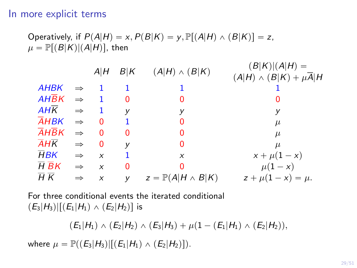#### In more explicit terms

Operating, if 
$$
P(A|H) = x
$$
,  $P(B|K) = y$ ,  $\mathbb{P}[(A|H) \wedge (B|K)] = z$ ,  $\mu = \mathbb{P}[(B|K)|(A|H)]$ , then

|                                 |               | A H      | B K      | $(A H) \wedge (B K)$             | $(B K) (A H) =$<br>$(A H) \wedge (B K) + \mu \overline{A} H$ |
|---------------------------------|---------------|----------|----------|----------------------------------|--------------------------------------------------------------|
| <b>AHBK</b>                     |               |          |          |                                  |                                                              |
| $AH\overline{B}K$               | $\Rightarrow$ |          | 0        | 0                                |                                                              |
| AHK                             | $\Rightarrow$ |          | v        | У                                | y                                                            |
| <b>AHBK</b>                     | $\Rightarrow$ | $\Omega$ | 1.       | 0                                | $\mu$                                                        |
| AHBK                            | $\Rightarrow$ | $\Omega$ | $\Omega$ | 0                                | $\mu$                                                        |
| $\overline{A}$ H $\overline{K}$ | $\Rightarrow$ | $\Omega$ | V        | 0                                | $\mu$                                                        |
| $\overline{H}$ BK               | $\Rightarrow$ | X        |          | X                                | $x + \mu(1 - x)$                                             |
| H B K                           | $\Rightarrow$ | $\times$ | 0        | 0                                | $\mu(1-x)$                                                   |
| $\overline{H} \overline{K}$     | $\Rightarrow$ | X        | V        | $z = \mathbb{P}(A H \wedge B K)$ | $z + \mu(1 - x) = \mu.$                                      |
|                                 |               |          |          |                                  |                                                              |

For three conditional events the iterated conditional  $(E_3|H_3)|[(E_1|H_1) \wedge (E_2|H_2)]$  is

 $p(E_1|H_1) \wedge (E_2|H_2) \wedge (E_3|H_3) + \mu(1 - (E_1|H_1) \wedge (E_2|H_2)),$ 

where  $\mu = \mathbb{P}((E_3|H_3)|[(E_1|H_1) \wedge (E_2|H_2)]).$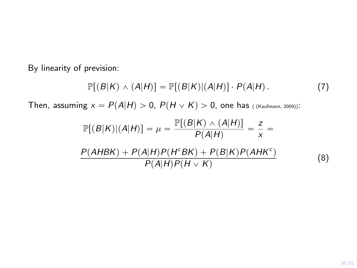By linearity of prevision:

$$
\mathbb{P}[(B|K) \wedge (A|H)] = \mathbb{P}[(B|K)| (A|H)] \cdot P(A|H).
$$
 (7)

Then, assuming  $x = P(A|H) > 0$ ,  $P(H \vee K) > 0$ , one has ( [\(Kaufmann, 2009\)](#page-49-3)):

$$
\mathbb{P}[(B|K)|(A|H)] = \mu = \frac{\mathbb{P}[(B|K) \wedge (A|H)]}{P(A|H)} = \frac{z}{x} = \frac{P(A|H)P(H^cBK) + P(B|K)P(AHK^c)}{P(A|H)P(H \vee K)}
$$
(8)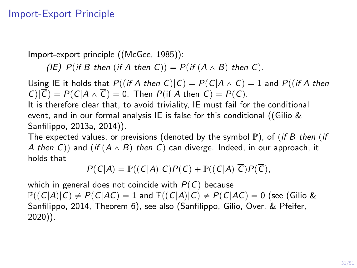### Import-Export Principle

Import-export principle ([\(McGee, 1985\)](#page-49-7)):

(IE) P(if B then (if A then C)) =  $P(i f (A \wedge B)$  then C).

Using IE it holds that  $P((if A then C)|C) = P(C|A \wedge C) = 1$  and  $P((if A then C))$  $C|\overline{C}$  =  $P(C|A \wedge \overline{C}) = 0$ . Then  $P(\text{if } A \text{ then } C) = P(C)$ .

It is therefore clear that, to avoid triviality, IE must fail for the conditional event, and in our formal analysis IE is false for this conditional ([\(Gilio &](#page-48-0) [Sanfilippo, 2013a,](#page-48-0) [2014\)](#page-48-2)).

The expected values, or previsions (denoted by the symbol  $\mathbb{P}$ ), of (if B then (if A then C)) and  $(i f (A \wedge B)$  then C) can diverge. Indeed, in our approach, it holds that

$$
P(C|A) = \mathbb{P}((C|A)|C)P(C) + \mathbb{P}((C|A)|\overline{C})P(\overline{C}),
$$

which in general does not coincide with  $P(C)$  because  $\mathbb{P}((C|A)|C) \neq P(C|AC) = 1$  and  $\mathbb{P}((C|A)|\overline{C}) \neq P(C|A\overline{C}) = 0$  (see [\(Gilio &](#page-48-2) [Sanfilippo, 2014,](#page-48-2) Theorem 6), see also [\(Sanfilippo, Gilio, Over, & Pfeifer,](#page-50-2) [2020\)](#page-50-2)).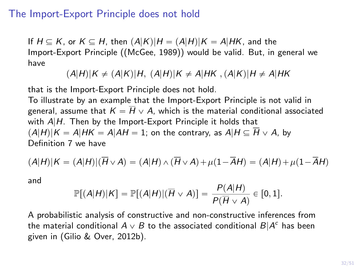#### The Import-Export Principle does not hold

If  $H \subseteq K$ , or  $K \subseteq H$ , then  $(A|K)|H = (A|H)|K = A|HK$ , and the Import-Export Principle ([\(McGee, 1989\)](#page-49-4)) would be valid. But, in general we have

 $(A|H)|K \neq (A|K)|H$ ,  $(A|H)|K \neq A|HK$ ,  $(A|K)|H \neq A|HK$ 

that is the Import-Export Principle does not hold.

To illustrate by an example that the Import-Export Principle is not valid in general, assume that  $K = \overline{H} \vee A$ , which is the material conditional associated with  $A|H$ . Then by the Import-Export Principle it holds that  $(A|H)|K = A|HK = A|AH = 1$ ; on the contrary, as  $A|H \subseteq \overline{H} \vee A$ , by Definition [7](#page-27-0) we have

$$
(A|H)|K = (A|H)|(\overline{H} \vee A) = (A|H) \wedge (\overline{H} \vee A) + \mu(1 - \overline{A}H) = (A|H) + \mu(1 - \overline{A}H)
$$

and

$$
\mathbb{P}[(A|H)|K] = \mathbb{P}[(A|H)|(\overline{H} \vee A)] = \frac{P(A|H)}{P(\overline{H} \vee A)} \in [0,1].
$$

A probabilistic analysis of constructive and non-constructive inferences from the material conditional  $A\vee B$  to the associated conditional  $B|A^c$  has been given in [\(Gilio & Over, 2012b\)](#page-47-2).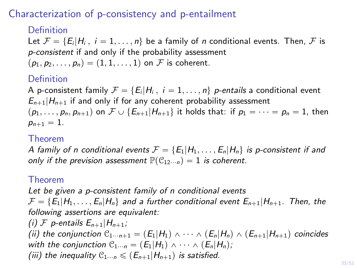# Characterization of p-consistency and p-entailment

### Definition

Let  $\mathcal{F} = \{E_i|H_i, i = 1, \ldots, n\}$  be a family of n conditional events. Then, F is p-consistent if and only if the probability assessment  $(p_1, p_2, \ldots, p_n) = (1, 1, \ldots, 1)$  on F is coherent.

### Definition

A p-consistent family  $\mathcal{F} = \{E_i|H_i, i = 1, \ldots, n\}$  p-entails a conditional event  $E_{n+1}|H_{n+1}$  if and only if for any coherent probability assessment  $(p_1, \ldots, p_n, p_{n+1})$  on  $\mathcal{F} \cup \{E_{n+1}|H_{n+1}\}$  it holds that: if  $p_1 = \cdots = p_n = 1$ , then  $p_{n+1} = 1.$ 

#### Theorem

A family of n conditional events  $\mathcal{F} = \{E_1|H_1,\ldots,E_n|H_n\}$  is p-consistent if and only if the prevision assessment  $\mathbb{P}(\mathcal{C}_{12\cdots n}) = 1$  is coherent.

#### Theorem

Let be given a p-consistent family of n conditional events  $\mathcal{F} = \{E_1|H_1, \ldots, E_n|H_n\}$  and a further conditional event  $E_{n+1}|H_{n+1}$ . Then, the following assertions are equivalent:

(i) F p-entails  $E_{n+1}|H_{n+1};$ (ii) the conjunction  $\mathcal{C}_{1\cdots n+1} = (E_1|H_1) \wedge \cdots \wedge (E_n|H_n) \wedge (E_{n+1}|H_{n+1})$  coincides with the conjunction  $\mathcal{C}_{1\cdots n} = (E_1|H_1) \wedge \cdots \wedge (E_n|H_n);$ (iii) the inequality  $\mathcal{C}_{1\cdots n} \leqslant (E_{n+1}|H_{n+1})$  is satisfied.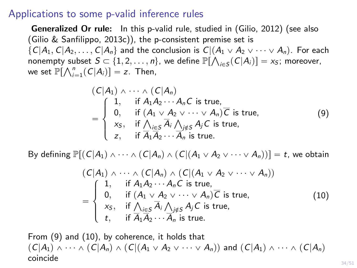#### Applications to some p-valid inference rules

Generalized Or rule: In this p-valid rule, studied in [\(Gilio, 2012\)](#page-47-3) (see also [\(Gilio & Sanfilippo, 2013c\)](#page-48-5)), the p-consistent premise set is  $\{C|A_1, C|A_2, \ldots, C|A_n\}$  and the conclusion is  $C|(A_1 \vee A_2 \vee \cdots \vee A_n)$ . For each nonempty subset  $S \subset \{1, 2, ..., n\}$ , we define  $\mathbb{P}[\bigwedge_{i \in S} (C|A_i)] = x_S$ ; moreover, we set  $\mathbb{P}[\bigwedge_{i=1}^{n} (C|A_{i})] = z$ . Then,

<span id="page-33-0"></span>
$$
(C|A_1) \wedge \cdots \wedge (C|A_n)
$$
  
= 
$$
\begin{cases} 1, & \text{if } A_1A_2 \cdots A_nC \text{ is true,} \\ 0, & \text{if } (A_1 \vee A_2 \vee \cdots \vee A_n)\overline{C} \text{ is true,} \\ x_5, & \text{if } \bigwedge_{i \in S} \overline{A_i} \bigwedge_{j \notin S} A_jC \text{ is true,} \\ z, & \text{if } \overline{A_1}\overline{A_2} \cdots \overline{A_n} \text{ is true.} \end{cases}
$$
(9)

By defining  $\mathbb{P}[(C|A_1) \wedge \cdots \wedge (C|A_n) \wedge (C|(A_1 \vee A_2 \vee \cdots \vee A_n))] = t$ , we obtain

<span id="page-33-1"></span>
$$
(C|A_1) \wedge \cdots \wedge (C|A_n) \wedge (C|(A_1 \vee A_2 \vee \cdots \vee A_n))
$$
  
= 
$$
\begin{cases} 1, & \text{if } A_1A_2 \cdots A_nC \text{ is true,} \\ 0, & \text{if } (A_1 \vee A_2 \vee \cdots \vee A_n)\overline{C} \text{ is true,} \\ x_5, & \text{if } \bigwedge_{i \in S} \overline{A_i} \bigwedge_{j \notin S} A_jC \text{ is true,} \\ t, & \text{if } \overline{A_1}\overline{A_2} \cdots \overline{A_n} \text{ is true.} \end{cases}
$$
(10)

From [\(9\)](#page-33-0) and [\(10\)](#page-33-1), by coherence, it holds that  $p(C|A_1) \wedge \cdots \wedge (C|A_n) \wedge (C|(A_1 \vee A_2 \vee \cdots \vee A_n))$  and  $(C|A_1) \wedge \cdots \wedge (C|A_n)$ coincide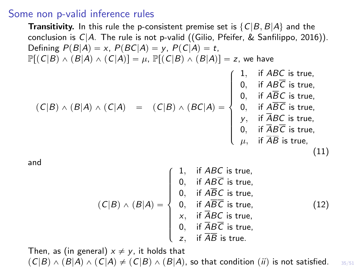#### Some non p-valid inference rules

**Transitivity.** In this rule the p-consistent premise set is  $\{C|B, B|A\}$  and the conclusion is  $C/A$ . The rule is not p-valid ([\(Gilio, Pfeifer, & Sanfilippo, 2016\)](#page-47-4)). Defining  $P(B|A) = x$ ,  $P(BC|A) = y$ ,  $P(C|A) = t$ ,  $\mathbb{P}[(C|B) \wedge (B|A) \wedge (C|A)] = \mu$ ,  $\mathbb{P}[(C|B) \wedge (B|A)] = z$ , we have  $p(C|B) \wedge (B|A) \wedge (C|A) = (C|B) \wedge (BC|A) =$  $\overline{a}$  $\left\lceil$  $\begin{bmatrix} \phantom{-} \end{bmatrix}$ 1, if  $ABC$  is true,  $0,$  if  $ABC$  is true,  $0,$  if  $ABC$  is true,  $0,$  if  $ABC$  is true, y, if ABC is true,  $0,$  if  $ABC$  is true,  $\mu, \;\;$  if  $AB$  is true, (11) and  $(C|B) \wedge (B|A) =$  $\left\lceil$  $\begin{bmatrix} \phantom{-} \end{bmatrix}$ 1, if  $ABC$  is true, 0, if  $ABC$  is true, 0, if  $ABC$  is true, 0, if  $ABC$  is true,  $x$ , if ABC is true, 0, if  $ABC$  is true,  $z$ , if  $AB$  is true. (12)

35/51 Then, as (in general)  $x \neq y$ , it holds that  $p(C|B) \wedge (B|A) \wedge (C|A) \neq (C|B) \wedge (B|A)$ , so that condition  $(ii)$  is not satisfied.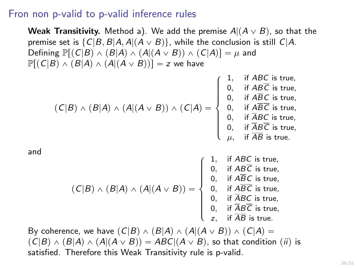#### Fron non p-valid to p-valid inference rules

**Weak Transitivity.** Method a). We add the premise  $A|(A \vee B)$ , so that the premise set is  $\{C|B, B|A, A|(A \vee B)\}$ , while the conclusion is still  $C|A$ . Defining  $\mathbb{P}[(C|B) \wedge (B|A) \wedge (A|(A \vee B)) \wedge (C|A)] = \mu$  and  $\mathbb{P}[(C|B) \wedge (B|A) \wedge (A|(A \vee B))] = z$  we have  $p(C|B) \wedge (B|A) \wedge (A|(A \vee B)) \wedge (C|A) =$  $\overline{a}$  $\left\lceil$  $\begin{matrix} \end{matrix}$ 1, if ABC is true, 0, if ABC is true, 0, if  $ABC$  is true, 0, if ABC is true, 0, if ABC is true, 0, if  $ABC$  is true,  $\mu, \quad$  if  $AB$  is true. and  $(\mathcal{C}|B) \wedge (B|A) \wedge (A|(A \vee B)) =$ **\$100 million**  $\int$  $\begin{matrix} \hline \end{matrix}$ 1, if ABC is true, 0, if ABC is true, 0, if ABC is true, 0, if ABC is true, 0, if ABC is true, 0, if ABC is true, z, if AB is true. By coherence, we have  $(C|B) \wedge (B|A) \wedge (A|(A \vee B)) \wedge (C|A) =$ 

 $p(C|B) \wedge (B|A) \wedge (A|(A \vee B)) = ABC|(A \vee B)$ , so that condition (*ii*) is satisfied. Therefore this Weak Transitivity rule is p-valid.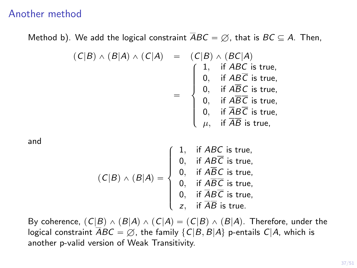#### Another method

Method b). We add the logical constraint  $\overline{A}BC = \emptyset$ , that is  $BC \subseteq A$ . Then,

$$
(C|B) \wedge (B|A) \wedge (C|A) = (C|B) \wedge (BC|A)
$$
  
= 
$$
\begin{cases}\n1, & \text{if } ABC \text{ is true,} \\
0, & \text{if } ABC \text{ is true,} \\
0, & \text{if } \overline{ABC} \text{ is true,} \\
0, & \text{if } \overline{ABC} \text{ is true,} \\
0, & \text{if } \overline{ABC} \text{ is true,} \\
0, & \text{if } \overline{ABC} \text{ is true,} \\
\mu, & \text{if } \overline{AB} \text{ is true,}\n\end{cases}
$$

and

$$
(C|B) \wedge (B|A) = \begin{cases} 1, & \text{if } ABC \text{ is true,} \\ 0, & \text{if } AB\overline{C} \text{ is true,} \\ 0, & \text{if } \overline{ABC} \text{ is true,} \\ 0, & \text{if } \overline{ABC} \text{ is true,} \\ 0, & \text{if } \overline{ABC} \text{ is true,} \\ z, & \text{if } \overline{AB} \text{ is true.} \end{cases}
$$

By coherence,  $(C|B) \wedge (B|A) \wedge (C|A) = (C|B) \wedge (B|A)$ . Therefore, under the logical constraint  $\overline{A}BC = \emptyset$ , the family  $\{C|B, B|A\}$  p-entails  $C|A$ , which is another p-valid version of Weak Transitivity.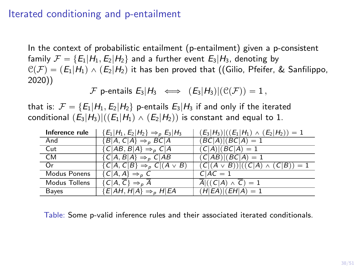### Iterated conditioning and p-entailment

In the context of probabilistic entailment (p-entailment) given a p-consistent family  $\mathcal{F} = \{E_1|H_1, E_2|H_2\}$  and a further event  $E_3|H_3$ , denoting by  $\mathcal{C}(\mathcal{F}) = (E_1|H_1) \wedge (E_2|H_2)$  it has ben proved that ([\(Gilio, Pfeifer, & Sanfilippo,](#page-47-5) [2020\)](#page-47-5))

 $\mathcal F$  p-entails  $E_3|H_3 \iff (E_3|H_3)|(\mathcal C(\mathcal F)) = 1$ ,

that is:  $\mathcal{F} = \{E_1|H_1, E_2|H_2\}$  p-entails  $E_3|H_3$  if and only if the iterated conditional  $(E_3|H_3)|((E_1|H_1) \wedge (E_2|H_2))$  is constant and equal to 1.

| Inference rule | ${E_1 H_1, E_2 H_2} \Rightarrow_{p} E_3 H_3$         | $(E_3 H_3) ((E_1 H_1) \wedge (E_2 H_2)) = 1$       |
|----------------|------------------------------------------------------|----------------------------------------------------|
| And            | ${B A, C A} \Rightarrow_B BC A$                      | $(BC A) (BC A)=1$                                  |
| Cut            | $\{C AB, B A\} \Rightarrow_{p} C A$                  | $(C A) (BC A) = 1$                                 |
| <b>CM</b>      | $\{C A, B A\} \Rightarrow_{\rho} C AB$               | $(C AB) (BC A) = 1$                                |
| Or             | $\{C A, C B\} \Rightarrow_{p} C (A \vee B)$          | $(C (A \vee B)) ((C A) \wedge (C B)) = 1$          |
| Modus Ponens   | $\overline{\{C A,A\}} \Rightarrow_{\rho} C$          | $C AC = 1$                                         |
| Modus Tollens  | $\{C A,\overline{C}\}\Rightarrow_{\rho}\overline{A}$ | $\overline{A}$  ((C A) $\wedge \overline{C}$ ) = 1 |
| Bayes          | $\{E AH, H A\} \Rightarrow_{p} H EA$                 | $(H EA) (EH A)=1$                                  |

Table: Some p-valid inference rules and their associated iterated conditionals.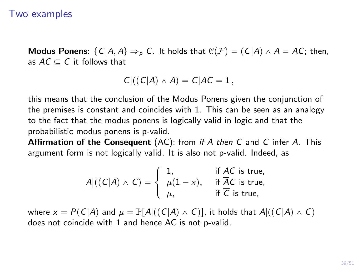#### Two examples

**Modus Ponens:**  $\{C|A, A\} \Rightarrow_{p} C$ . It holds that  $C(\mathcal{F}) = (C|A) \land A = AC$ ; then, as  $AC \subseteq C$  it follows that

$$
C|((C|A)\wedge A)=C|AC=1,
$$

this means that the conclusion of the Modus Ponens given the conjunction of the premises is constant and coincides with 1. This can be seen as an analogy to the fact that the modus ponens is logically valid in logic and that the probabilistic modus ponens is p-valid.

**Affirmation of the Consequent** (AC): from if A then C and C infer A. This argument form is not logically valid. It is also not p-valid. Indeed, as

$$
A|((C|A) \wedge C) = \begin{cases} 1, & \text{if } AC \text{ is true,} \\ \mu(1-x), & \text{if } \overline{AC} \text{ is true,} \\ \mu, & \text{if } \overline{C} \text{ is true,} \end{cases}
$$

where  $x = P(C|A)$  and  $\mu = \mathbb{P}[A|((C|A) \wedge C)]$ , it holds that  $A|((C|A) \wedge C)$ does not coincide with 1 and hence AC is not p-valid.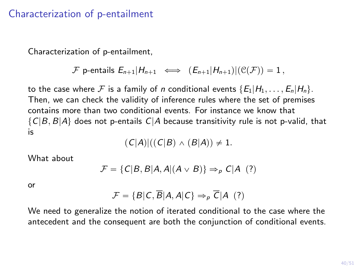### Characterization of p-entailment

Characterization of p-entailment,

$$
\mathcal{F} \text{ p-entails } E_{n+1}|H_{n+1} \iff (E_{n+1}|H_{n+1})|(\mathcal{C}(\mathcal{F}))=1,
$$

to the case where F is a family of n conditional events  $\{E_1|H_1,\ldots,E_n|H_n\}$ . Then, we can check the validity of inference rules where the set of premises contains more than two conditional events. For instance we know that  $\{C|B, B|A\}$  does not p-entails  $C|A$  because transitivity rule is not p-valid, that is

$$
(C|A)|((C|B) \wedge (B|A)) \neq 1.
$$

What about

$$
\mathcal{F} = \{ C|B, B|A, A|(A \vee B) \} \Rightarrow_{P} C|A \quad (?)
$$

or

$$
\mathcal{F} = \{B|C, \overline{B}|A, A|C\} \Rightarrow_{\rho} \overline{C}|A \quad (?)
$$

We need to generalize the notion of iterated conditional to the case where the antecedent and the consequent are both the conjunction of conditional events.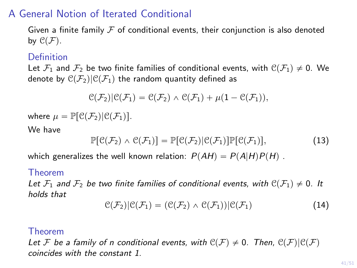### A General Notion of Iterated Conditional

Given a finite family  $\mathcal F$  of conditional events, their conjunction is also denoted by  $\mathcal{C}(\mathcal{F})$ .

#### Definition

Let  $\mathcal{F}_1$  and  $\mathcal{F}_2$  be two finite families of conditional events, with  $\mathcal{C}(\mathcal{F}_1)\neq 0$ . We denote by  $\mathfrak{C}(\mathcal{F}_2)|\mathfrak{C}(\mathcal{F}_1)$  the random quantity defined as

$$
\mathfrak{C}(\mathcal{F}_2)|\mathfrak{C}(\mathcal{F}_1)=\mathfrak{C}(\mathcal{F}_2)\wedge \mathfrak{C}(\mathcal{F}_1)+\mu(1-\mathfrak{C}(\mathcal{F}_1)),
$$

where  $\mu = \mathbb{P}[\mathcal{C}(\mathcal{F}_2)|\mathcal{C}(\mathcal{F}_1)].$ 

We have

$$
\mathbb{P}[\mathcal{C}(\mathcal{F}_2) \wedge \mathcal{C}(\mathcal{F}_1)] = \mathbb{P}[\mathcal{C}(\mathcal{F}_2)|\mathcal{C}(\mathcal{F}_1)]\mathbb{P}[\mathcal{C}(\mathcal{F}_1)],\tag{13}
$$

which generalizes the well known relation:  $P(AH) = P(A|H)P(H)$ .

#### Theorem

Let  $\mathcal{F}_1$  and  $\mathcal{F}_2$  be two finite families of conditional events, with  $\mathcal{C}(\mathcal{F}_1)\neq 0$ . It holds that

$$
\mathcal{C}(\mathcal{F}_2)|\mathcal{C}(\mathcal{F}_1)=(\mathcal{C}(\mathcal{F}_2)\wedge\mathcal{C}(\mathcal{F}_1))|\mathcal{C}(\mathcal{F}_1)
$$
\n(14)

#### Theorem

Let F be a family of n conditional events, with  $\mathcal{C}(\mathcal{F}) \neq 0$ . Then,  $\mathcal{C}(\mathcal{F})|\mathcal{C}(\mathcal{F})$ coincides with the constant 1.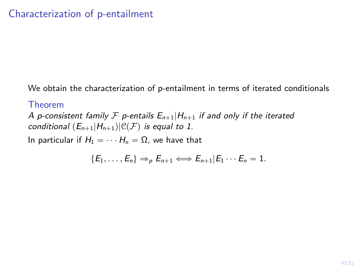We obtain the characterization of p-entailment in terms of iterated conditionals

#### Theorem

<span id="page-41-0"></span>A p-consistent family F p-entails  $E_{n+1}|H_{n+1}$  if and only if the iterated conditional  $(E_{n+1}|H_{n+1})|\mathcal{C}(F)$  is equal to 1.

In particular if  $H_1 = \cdots H_n = \Omega$ , we have that

$$
\{E_1,\ldots,E_n\}\Rightarrow_{\rho} E_{n+1}\Longleftrightarrow E_{n+1}|E_1\cdots E_n=1.
$$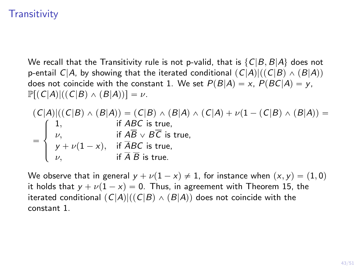# **Transitivity**

We recall that the Transitivity rule is not p-valid, that is  $\{C|B, B|A\}$  does not p-entail  $C|A$ , by showing that the iterated conditional  $(C|A)|((C|B) \wedge (B|A))$ does not coincide with the constant 1. We set  $P(B|A) = x$ ,  $P(BC|A) = y$ ,  $\mathbb{P}[(C|A)|((C|B) \wedge (B|A))] = \nu.$ 

$$
(C|A)|((C|B) \wedge (B|A)) = (C|B) \wedge (B|A) \wedge (C|A) + \nu(1 - (C|B) \wedge (B|A)) =
$$
\n
$$
= \begin{cases}\n1, & \text{if } ABC \text{ is true,} \\
\nu, & \text{if } \overline{AB} \vee \overline{BC} \text{ is true,} \\
y + \nu(1 - x), & \text{if } \overline{ABC} \text{ is true,} \\
\nu, & \text{if } \overline{A} \overline{B} \text{ is true.}\n\end{cases}
$$

We observe that in general  $y + \nu(1 - x) \neq 1$ , for instance when  $(x, y) = (1, 0)$ it holds that  $y + \nu(1 - x) = 0$ . Thus, in agreement with Theorem [15,](#page-41-0) the iterated conditional  $(C|A)|((C|B) \wedge (B|A))$  does not coincide with the constant 1.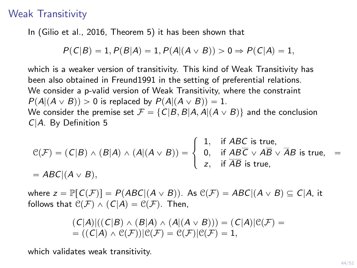#### Weak Transitivity

In [\(Gilio et al., 2016,](#page-47-4) Theorem 5) it has been shown that

$$
P(C|B) = 1, P(B|A) = 1, P(A|(A \vee B)) > 0 \Rightarrow P(C|A) = 1,
$$

which is a weaker version of transitivity. This kind of Weak Transitivity has been also obtained in Freund1991 in the setting of preferential relations. We consider a p-valid version of Weak Transitivity, where the constraint  $P(A|(A \vee B)) > 0$  is replaced by  $P(A|(A \vee B)) = 1$ . We consider the premise set  $\mathcal{F} = \{ C|B, B|A, A | (A \vee B) \}$  and the conclusion C|A. By Definition [5](#page-22-0)

$$
\mathcal{C}(\mathcal{F}) = (C|B) \land (B|A) \land (A|(A \lor B)) = \begin{cases} 1, & \text{if } ABC \text{ is true,} \\ 0, & \text{if } \overline{ABC} \lor \overline{AB} \lor \overline{AB} \text{ is true,} \\ z, & \text{if } \overline{AB} \text{ is true,} \end{cases} = ABC|(A \lor B),
$$

where  $z = \mathbb{P}[\mathcal{C}(\mathcal{F})] = P(ABC|(A \vee B))$ . As  $\mathcal{C}(\mathcal{F}) = ABC|(A \vee B) \subseteq C|A$ , it follows that  $\mathcal{C}(\mathcal{F}) \wedge (C|A) = \mathcal{C}(\mathcal{F})$ . Then,

$$
(C|A)|((C|B) \wedge (B|A) \wedge (A|(A \vee B))) = (C|A)|\mathfrak{C}(\mathcal{F}) =
$$
  
= ((C|A) \wedge \mathfrak{C}(\mathcal{F}))|\mathfrak{C}(\mathcal{F}) = \mathfrak{C}(\mathcal{F})|\mathfrak{C}(\mathcal{F}) = 1,

which validates weak transitivity.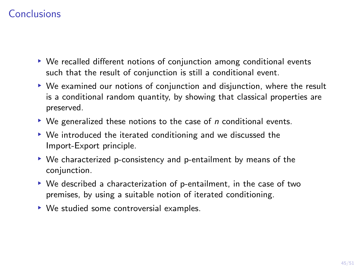# Conclusions

- ▶ We recalled different notions of conjunction among conditional events such that the result of conjunction is still a conditional event.
- ▶ We examined our notions of conjunction and disjunction, where the result is a conditional random quantity, by showing that classical properties are preserved.
- $\triangleright$  We generalized these notions to the case of *n* conditional events.
- ▶ We introduced the iterated conditioning and we discussed the Import-Export principle.
- ▶ We characterized p-consistency and p-entailment by means of the conjunction.
- ▶ We described a characterization of p-entailment, in the case of two premises, by using a suitable notion of iterated conditioning.
- ▶ We studied some controversial examples.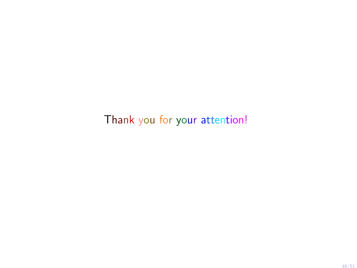Thank you for your attention!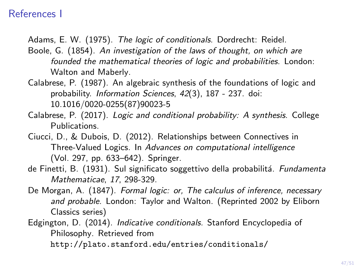### References I

- <span id="page-46-3"></span>Adams, E. W. (1975). The logic of conditionals. Dordrecht: Reidel.
- <span id="page-46-1"></span>Boole, G. (1854). An investigation of the laws of thought, on which are founded the mathematical theories of logic and probabilities. London: Walton and Maberly.
- <span id="page-46-4"></span>Calabrese, P. (1987). An algebraic synthesis of the foundations of logic and probability. Information Sciences, 42(3), 187 - 237. doi: 10.1016/0020-0255(87)90023-5
- <span id="page-46-5"></span>Calabrese, P. (2017). Logic and conditional probability: A synthesis. College Publications.
- <span id="page-46-6"></span>Ciucci, D., & Dubois, D. (2012). Relationships between Connectives in Three-Valued Logics. In Advances on computational intelligence (Vol. 297, pp. 633–642). Springer.
- <span id="page-46-7"></span>de Finetti, B. (1931). Sul significato soggettivo della probabilitá. Fundamenta Mathematicae, 17, 298-329.
- <span id="page-46-0"></span>De Morgan, A. (1847). Formal logic: or, The calculus of inference, necessary and probable. London: Taylor and Walton. (Reprinted 2002 by Eliborn Classics series)

<span id="page-46-2"></span>Edgington, D. (2014). Indicative conditionals. Stanford Encyclopedia of Philosophy. Retrieved from <http://plato.stanford.edu/entries/conditionals/>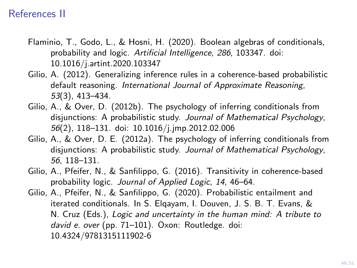### References II

- <span id="page-47-1"></span>Flaminio, T., Godo, L., & Hosni, H. (2020). Boolean algebras of conditionals, probability and logic. Artificial Intelligence, 286, 103347. doi: 10.1016/j.artint.2020.103347
- <span id="page-47-3"></span>Gilio, A. (2012). Generalizing inference rules in a coherence-based probabilistic default reasoning. International Journal of Approximate Reasoning, 53(3), 413–434.
- <span id="page-47-2"></span>Gilio, A., & Over, D. (2012b). The psychology of inferring conditionals from disjunctions: A probabilistic study. Journal of Mathematical Psychology, 56(2), 118–131. doi: 10.1016/j.jmp.2012.02.006
- <span id="page-47-0"></span>Gilio, A., & Over, D. E. (2012a). The psychology of inferring conditionals from disjunctions: A probabilistic study. Journal of Mathematical Psychology, 56, 118–131.
- <span id="page-47-4"></span>Gilio, A., Pfeifer, N., & Sanfilippo, G. (2016). Transitivity in coherence-based probability logic. Journal of Applied Logic, 14, 46–64.
- <span id="page-47-5"></span>Gilio, A., Pfeifer, N., & Sanfilippo, G. (2020). Probabilistic entailment and iterated conditionals. In S. Elqayam, I. Douven, J. S. B. T. Evans, & N. Cruz (Eds.), Logic and uncertainty in the human mind: A tribute to david e. over (pp. 71–101). Oxon: Routledge. doi: 10.4324/9781315111902-6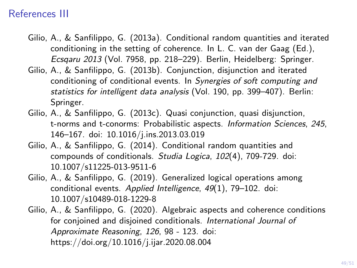### References III

- <span id="page-48-0"></span>Gilio, A., & Sanfilippo, G. (2013a). Conditional random quantities and iterated conditioning in the setting of coherence. In L. C. van der Gaag (Ed.), Ecsqaru 2013 (Vol. 7958, pp. 218–229). Berlin, Heidelberg: Springer.
- <span id="page-48-1"></span>Gilio, A., & Sanfilippo, G. (2013b). Conjunction, disjunction and iterated conditioning of conditional events. In Synergies of soft computing and statistics for intelligent data analysis (Vol. 190, pp. 399–407). Berlin: Springer.
- <span id="page-48-5"></span>Gilio, A., & Sanfilippo, G. (2013c). Quasi conjunction, quasi disjunction, t-norms and t-conorms: Probabilistic aspects. Information Sciences, 245, 146–167. doi: 10.1016/j.ins.2013.03.019
- <span id="page-48-2"></span>Gilio, A., & Sanfilippo, G. (2014). Conditional random quantities and compounds of conditionals. Studia Logica, 102(4), 709-729. doi: 10.1007/s11225-013-9511-6
- <span id="page-48-3"></span>Gilio, A., & Sanfilippo, G. (2019). Generalized logical operations among conditional events. Applied Intelligence, 49(1), 79–102. doi: 10.1007/s10489-018-1229-8
- <span id="page-48-4"></span>Gilio, A., & Sanfilippo, G. (2020). Algebraic aspects and coherence conditions for conjoined and disjoined conditionals. International Journal of Approximate Reasoning, 126, 98 - 123. doi: https://doi.org/10.1016/j.ijar.2020.08.004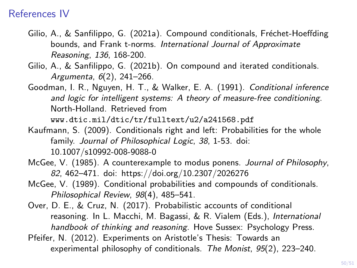### References IV

- <span id="page-49-5"></span>Gilio, A., & Sanfilippo, G. (2021a). Compound conditionals, Fréchet-Hoeffding bounds, and Frank t-norms. International Journal of Approximate Reasoning, 136, 168-200.
- <span id="page-49-6"></span>Gilio, A., & Sanfilippo, G. (2021b). On compound and iterated conditionals. Argumenta, 6(2), 241–266.
- <span id="page-49-2"></span>Goodman, I. R., Nguyen, H. T., & Walker, E. A. (1991). Conditional inference and logic for intelligent systems: A theory of measure-free conditioning. North-Holland. Retrieved from

<www.dtic.mil/dtic/tr/fulltext/u2/a241568.pdf>

- <span id="page-49-3"></span>Kaufmann, S. (2009). Conditionals right and left: Probabilities for the whole family. Journal of Philosophical Logic, 38, 1-53. doi: 10.1007/s10992-008-9088-0
- <span id="page-49-7"></span>McGee, V. (1985). A counterexample to modus ponens. Journal of Philosophy, 82, 462–471. doi: https://doi.org/10.2307/2026276
- <span id="page-49-4"></span>McGee, V. (1989). Conditional probabilities and compounds of conditionals. Philosophical Review, 98(4), 485–541.
- <span id="page-49-0"></span>Over, D. E., & Cruz, N. (2017). Probabilistic accounts of conditional reasoning. In L. Macchi, M. Bagassi, & R. Vialem (Eds.), International handbook of thinking and reasoning. Hove Sussex: Psychology Press.
- <span id="page-49-1"></span>Pfeifer, N. (2012). Experiments on Aristotle's Thesis: Towards an experimental philosophy of conditionals. The Monist, 95(2), 223–240.